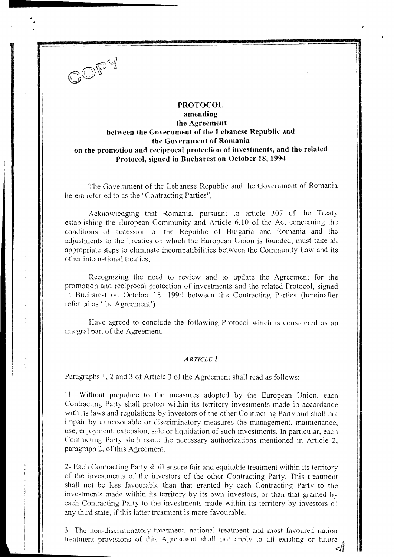

....... \_\_\_\_\_\_\_\_\_\_ \_\_

# **PROTOCOL amending the Agreement between the Government of tbe Lebanese Republic and the Government of Romania on the promotion and reciprocal protection of investments, and the related Protocol, signed in Bucharest on October 18, 1994**

The Government of the Lebanese Republic and the Government of Romania herein referred to as the "Contracting Parties",

Acknowledging that Romania, pursuant to article 307 of the Treaty establishing the European Community and Article 6.10 of the Act concerning the conditions of accession of the Republic of Bulgaria and Romania and the adjustments to the Treaties on which the European Union is founded, must take all appropriate steps to eliminate incompatibilities between the Community Law and its other international treaties,

Recognizing the need to review and to update the Agreement for the promotion and reciprocal protection of investments and the related Protocol, signed in Bucharest on October 18, 1994 between the Contracting Parties (hereinafter referred as 'the Agreement')

Have agreed to conclude the following Protocol which is considered as an integral part of the Agreement:

### *ARTICLE* **1**

Paragraphs 1, 2 and 3 of Article 3 of the Agreement shall read as follows:

'1- Without prejudice to the measures adopted by the European Union, each Contracting Party shall protect within its territory investments made in accordance with its laws and regulations by investors of the other Contracting Party and shall not impair by unreasonable or discriminatory measures the management. maintenance, use, enjoyment, extension, sale or liquidation of such investments. In particular, each Contracting Party shall issue the necessary authorizations mentioned in Article 2, paragraph 2, of this Agreement.

2- Each Contracting Party shall ensure fair and equitable treatment within its territory of the investments of the investors of the other Contracting Party. This treatment shall not be less favourable than that granted by each Contracting Party to the investments made within its territory by its own investors, or than that granted by each Contracting Party to the investments made within its territory by investors of any third state, if this latter treatment is more favourable.

3- The non-discriminatory treatment, national treatment and most favoured nation treatment provisions of this Agreement shall not apply to all existing or future  $\mathcal{L}$ .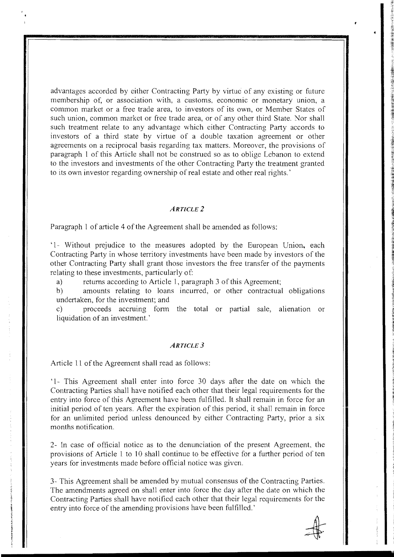advantages accorded by either Contracting Party by virtue of any existing or future membership of, or association with, a customs, economic or monetary union, a common market or a free trade area, to investors of its own, or Member States of such union, common market or free trade area, or of any other third State. Nor shall such treatment relate to any advantage which either Contracting Party accords to investors of a third state by virtue of a double taxation agreement or other agreements on a reciprocal basis regarding tax matters. Moreover, the provisions of paragraph 1 of this Article shall not be construed so as to oblige Lebanon to extend to the investors and investments of the other Contracting Party the treatment granted to its own investor regarding ownership of real estate and other real rights.'

#### *ARTICLE 2*

Paragraph 1 of article 4 of the Agreement shall be amended as follows:

'1- Without prejudice to the measures adopted by the European Union, each Contracting Party in whose territory investments have been made by investors of the other Contracting Party shall grant those investors the free transfer of the payments relating to these investments, particularly of:

a) returns according to Article 1, paragraph 3 of this Agreement;

b) amounts relating to loans incurred, or other contractual obligations undertaken, for the investment; and

c) proceeds accruing form the total or partial sale, alienation or liquidation of an investment.'

### *ARTICLE 3*

Article 11 of the Agreement shall read as follows:

'1- This Agreement shall enter into force 30 days after the date on which the Contracting Parties shall have notified each other that their legal requirements for the entry into force of this Agreement have been fulfilled. It shall remain in force for an initial period of ten years. After the expiration of this period, it shall remain in force for an unlimited period unless denounced by either Contracting Party, prior a six months notification.

2- In case of official notice as to the denunciation of the present Agreement, the provisions of Article 1 to 10 shall continue to be effective for a further period of ten years for investments made before official notice was given.

3- This Agreement shall be amended by mutual consensus of the Contracting Parties. The amendments agreed on shall enter into force the day after the date on which the Contracting Parties shall have notified each other that their legal requirements for the entry into force of the amending provisions have been fulfilled.'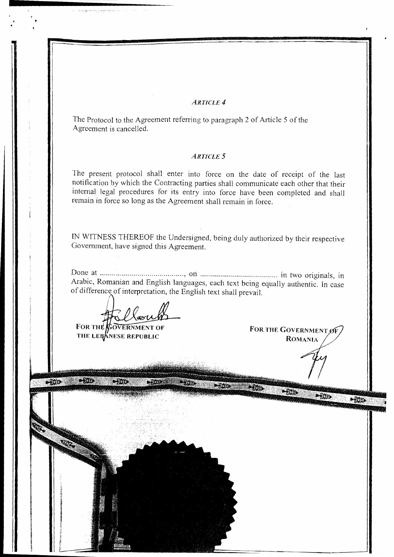### *ARTICLE4*

The Protocol to the Agreement referring to paragraph 2 of Article 5 of the Agreement is cancelled.

### *ARTICLE* **5**

The present protocol shall enter into force on the date of receipt of the last notification by which the Contracting parties shall communicate each other that their internal legal procedures for its entry into force have been completed and shall remain in force so long as the Agreement shall remain in force.

IN WITNESS THEREOF the Undersigned, being duly authorized by their respective Government, have signed this Agreement.

Done at .......................................... , on ....................................... in two originals, in Arabic, Romanian and English languages, each text being equally authentic. In ease of difference of interpretation, the English text shall prevail.

**FOR THE COVERNMENT OF** THE LEBANESE REPUBLIC

FOR THE GOVERNMENT OF **ROMANIA** 

na gyneralla pierranna, col

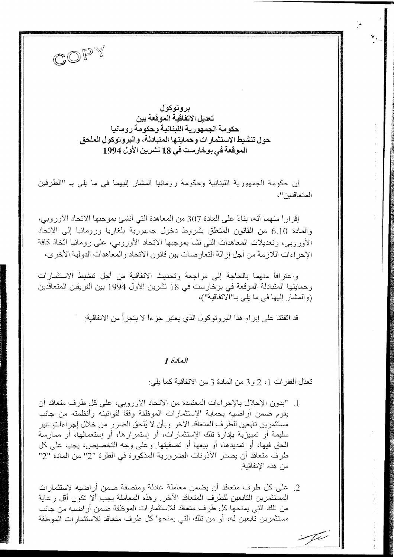

بروتوكول تعديل الاتفاقية الموقعة بين حكومة الجمهورية اللبنانية وحكومة رومانيا حول تنشيط الاستثمارات وحمايتها المتبادلة، والبروتوكول الملحق الموقعة في بوخارست في 18 تشرين الأول 1994

إن حكومة الجمهورية اللبنانية وحكومة رومانيا المشار إليهما في ما يلي بـ "الطرفين المتعاقدين"،

إقرارا منهما أنه، بناءً على المادة 307 من المعاهدة التي أنشئ بموجبها الاتحاد الأوروبي، والمعادة 6.10 من القانون المتعلق بشروط دخول جمهورية بلغاريا ورومانيا إلى الاتحاد الأوروبي، وتعديلات المعاهدات التي نشأ بموجبها الاتحاد الأوروبي، على رومانيا اتخاذ كافة الإجراءات اللازمة من أجل إزالة التعارضات بين قانون الاتحاد والمعاهدات الدولية الأخرى،

واعترافًا منهما بالحاجة إلى مراجعة وتحديث الاتفاقية من أجل تنشيط الاستثمارات وحمايتها المتبادلة الموقعة في بوخارست في 18 تشرين الأول 1994 بين الفريقين المتعاقدين (والمشار إليها في ما يلي بـ"الاتفاقية")،

قد اتفقنا على إبرام هذا البروتوكول الذي يعتبر جزءاً لا يتجزأ من الاتفاقية:

## العلاة 1

تعدّل الفقر ات 1، 2 و 3 من المادة 3 من الاتفاقية كما يلي:

[ . "بدون الإخلال بالإجراءات المعتمدة من الاتحاد الأوروبي، على كل طرف متعاقد أن يقوم ضمن أراضيه بحماية الإستثمارات الموظفة وفقاً لقوانينه وأنظمته من جانب مستثمر بن تابعين للطر ف المتعاقد الآخر. و بأن لا يُلحق الضر ر. من خلال إجر اءات غير سليمة أو تمييزية بإدارة تلك الإستثمارات، أو إستمرارها، أو إستعمالها، أو ممارسة الحق فيها، أو تمديدها، أو بيعها أو تصفيتها. وعلى وجه التخصيص، يجب على كل طرف متعاقد أن يصدر الأذونات الضرورية المذكورة في الفقرة "2" من المادة "2" من هذه الاتفاقية.

2. على كل طرف متعاقد أن يضمن معاملة عادلة ومنصفة ضمن أراضيه لاستثمارات المستثمرين التابعين للطرف المتعاقد الآخر. وهذه المعاملة يجب ألا تكون أقل ر عابة من تلك التي يمنحها كل طرف متعاقد للاستثمارات الموظفة ضمن أراضيه من جانب مستثمرين تابعين له، أو من تلك التي يمنحها كل طرف متعاقد للاستثمار ات الموظفة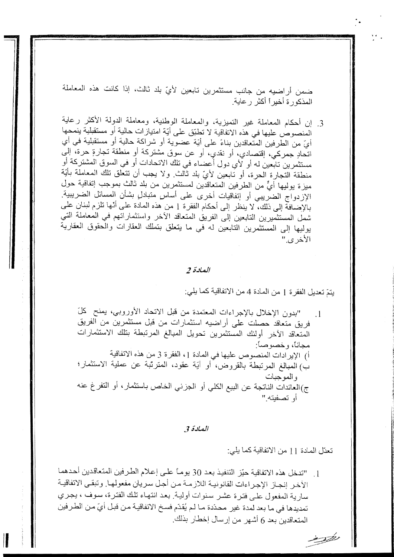ضمن أراضيه من جانب مستثمرين تابعين لأيّ بلد ثالث، إذا كانت هذه المعاملة المذكور ة أخير أ أكثر ر عاية.

3. إن أحكام المعاملة غير التميزية، والمعاملة الوطنية، ومعاملة الدولة الأكثر رعاية المنصوص عليها في هذه الاتفاقية لا تطبِّق على أيَّة امتيازات حالية أو مستقبلية ينمحها أيّ من الطرفين المتّعاقدين بناءً على أيّة عضوية أو شراكة حالية أو مستقبلية في أي اتحادٍ جمركي، إقتصادي، أو نقدي، أو عن سوق مشتركة أو منطقة تجارةٍ حرة، إلى مستثمرين تابعين له أو لأي دول أعضاء في تلك الاتحادات أو في السوق المشتركة أو منطقة التجارة الحرة، أو تابعين لأيّ بلد ثالث ولا يجب أن تتعلَّق تلك المعاملة بأيَّة ميزة يوليها أيٌّ من الطرفين المتعاقدين لمستثمرين من بلد ثالث بموجب إتفاقية حول الإزدواج الضريبي أو إتفاقيات أخرى على أساس متبادلٍ بشأن المسائل الضريبية. بالإضافة إلى ذلك، لا ينظر إلى أحكام الفقرة 1 من هذه المادة على أنها تلزم لبنان على شمل المستثميرين التابعين إلى الفريق المتعاقد الأخر واستثماراتهم في المعاملة التي يوليها إلى المستثمرين التابعين له في ما يتعلق بتملك العقارات والعقوق العقارية الأخرى"

### العلاة 2

يتمّ تعديل الفقرة 1 من المادة 4 من الاتفاقية كما يلي:

"بدون الإخلال بالإجراءات المعتمدة من قبل الاتحاد الأوروبي، يمنح كلّ  $\cdot$  1 فريق متعاقد حصلت على أراضيه استثمارات من قبل مستثمرين من الفريق المتعاقد الأخر أولنك المستثمرين تحويل المبالغ المرتبطة بتلك الاستثمارات مجانا، و خصوصاً: أ) الإيرادات المنصوص عليها في المادة 1، الفقرة 3 من هذه الاتفاقية ب) المبالغ المرتبطة بالقروض، أو أيَّة عقود، المترتَّبة عن عملية الاستثمار؛ و المو جبات ج)العائدات الناتجة عن البيع الكلي أو الجزني الخاص باستثمار، أو التفرغ عنه أو تصفيته "

العلاة 3

تعدّل المادة [ ] من الاتفاقية كما يلي:

1. "تدخل هذه الاتفاقية حيّز التنفيذ بعد 30 يومـاً علـى إعلام الطرفين المتعاقدين أحدهما الأخر إنجاز الإجراءات القانونية اللازمة من أجل سريان مفعولها. وتبقى الاتفاقية سارية المفعول على فترة عشر سنوات أولية ٍ بعد انتهاء تلك الفترة، سوف ، يجري تمديدها في ما بعد لمدة غير محدّدة مـا لـم يُقدّم فسـخ الاتفاقيـة مـن قبـل أيّ مـن الطـر فين المتعاقدين بعد 6 أشهر من إرسال إخطار بذلك.

ing